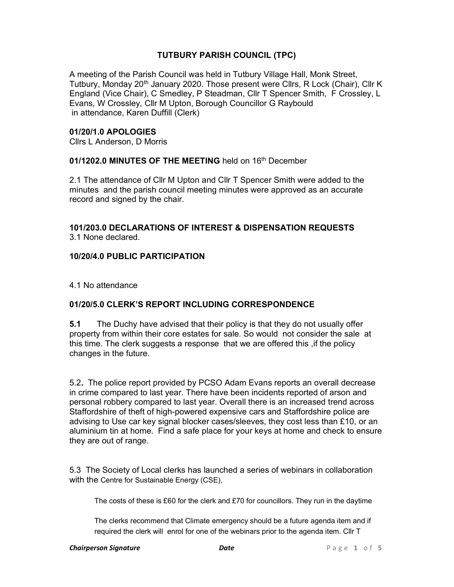# TUTBURY PARISH COUNCIL (TPC)

A meeting of the Parish Council was held in Tutbury Village Hall, Monk Street, Tutbury, Monday 20<sup>th</sup> January 2020. Those present were Cllrs, R Lock (Chair), Cllr K England (Vice Chair), C Smedley, P Steadman, Cllr T Spencer Smith, F Crossley, L Evans, W Crossley, Cllr M Upton, Borough Councillor G Raybould in attendance, Karen Duffill (Clerk)

### 01/20/1.0 APOLOGIES

Cllrs L Anderson, D Morris

# 01/1202.0 MINUTES OF THE MEETING held on 16th December

2.1 The attendance of Cllr M Upton and Cllr T Spencer Smith were added to the minutes and the parish council meeting minutes were approved as an accurate record and signed by the chair.

#### 101/203.0 DECLARATIONS OF INTEREST & DISPENSATION REQUESTS 3.1 None declared.

## 10/20/4.0 PUBLIC PARTICIPATION

4.1 No attendance

## 01/20/5.0 CLERK'S REPORT INCLUDING CORRESPONDENCE

5.1 The Duchy have advised that their policy is that they do not usually offer property from within their core estates for sale. So would not consider the sale at this time. The clerk suggests a response that we are offered this ,if the policy changes in the future.

5.2. The police report provided by PCSO Adam Evans reports an overall decrease in crime compared to last year. There have been incidents reported of arson and personal robbery compared to last year. Overall there is an increased trend across Staffordshire of theft of high-powered expensive cars and Staffordshire police are advising to Use car key signal blocker cases/sleeves, they cost less than £10, or an aluminium tin at home. Find a safe place for your keys at home and check to ensure they are out of range.

5.3 The Society of Local clerks has launched a series of webinars in collaboration with the Centre for Sustainable Energy (CSE),

The costs of these is £60 for the clerk and £70 for councillors. They run in the daytime

The clerks recommend that Climate emergency should be a future agenda item and if required the clerk will enrol for one of the webinars prior to the agenda item. Cllr T

#### **Chairperson Signature The Chairperson Signature P** a g e 1 of 5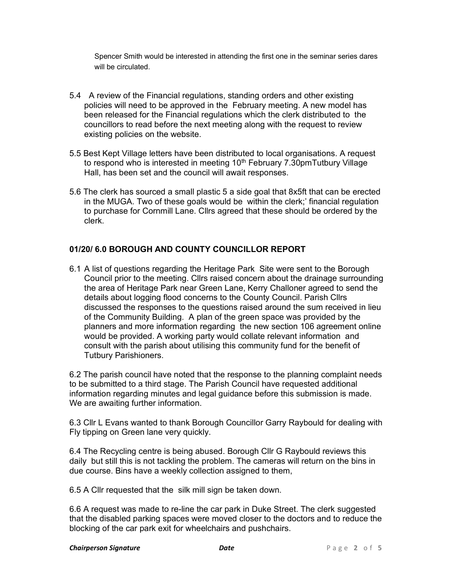Spencer Smith would be interested in attending the first one in the seminar series dares will be circulated.

- 5.4 A review of the Financial regulations, standing orders and other existing policies will need to be approved in the February meeting. A new model has been released for the Financial regulations which the clerk distributed to the councillors to read before the next meeting along with the request to review existing policies on the website.
- 5.5 Best Kept Village letters have been distributed to local organisations. A request to respond who is interested in meeting  $10<sup>th</sup>$  February 7.30pm Tutbury Village Hall, has been set and the council will await responses.
- 5.6 The clerk has sourced a small plastic 5 a side goal that 8x5ft that can be erected in the MUGA. Two of these goals would be within the clerk;' financial regulation to purchase for Cornmill Lane. Cllrs agreed that these should be ordered by the clerk.

## 01/20/ 6.0 BOROUGH AND COUNTY COUNCILLOR REPORT

6.1 A list of questions regarding the Heritage Park Site were sent to the Borough Council prior to the meeting. Cllrs raised concern about the drainage surrounding the area of Heritage Park near Green Lane, Kerry Challoner agreed to send the details about logging flood concerns to the County Council. Parish Cllrs discussed the responses to the questions raised around the sum received in lieu of the Community Building. A plan of the green space was provided by the planners and more information regarding the new section 106 agreement online would be provided. A working party would collate relevant information and consult with the parish about utilising this community fund for the benefit of Tutbury Parishioners.

6.2 The parish council have noted that the response to the planning complaint needs to be submitted to a third stage. The Parish Council have requested additional information regarding minutes and legal guidance before this submission is made. We are awaiting further information.

6.3 Cllr L Evans wanted to thank Borough Councillor Garry Raybould for dealing with Fly tipping on Green lane very quickly.

6.4 The Recycling centre is being abused. Borough Cllr G Raybould reviews this daily but still this is not tackling the problem. The cameras will return on the bins in due course. Bins have a weekly collection assigned to them,

6.5 A Cllr requested that the silk mill sign be taken down.

6.6 A request was made to re-line the car park in Duke Street. The clerk suggested that the disabled parking spaces were moved closer to the doctors and to reduce the blocking of the car park exit for wheelchairs and pushchairs.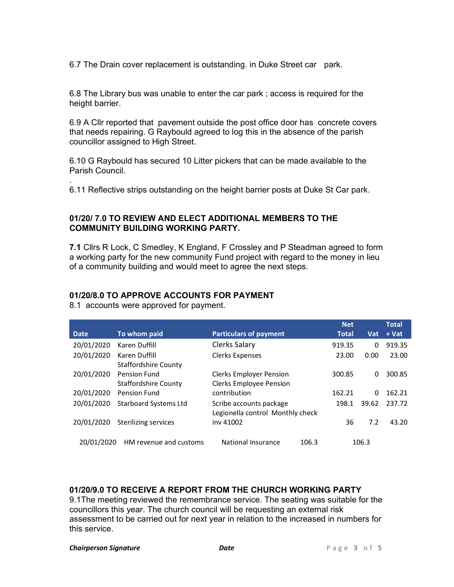6.7 The Drain cover replacement is outstanding. in Duke Street car park.

6.8 The Library bus was unable to enter the car park ; access is required for the height barrier.

6.9 A Cllr reported that pavement outside the post office door has concrete covers that needs repairing. G Raybould agreed to log this in the absence of the parish councillor assigned to High Street.

6.10 G Raybould has secured 10 Litter pickers that can be made available to the Parish Council.

6.11 Reflective strips outstanding on the height barrier posts at Duke St Car park.

## 01/20/ 7.0 TO REVIEW AND ELECT ADDITIONAL MEMBERS TO THE COMMUNITY BUILDING WORKING PARTY.

7.1 Cllrs R Lock, C Smedley, K England, F Crossley and P Steadman agreed to form a working party for the new community Fund project with regard to the money in lieu of a community building and would meet to agree the next steps.

#### 01/20/8.0 TO APPROVE ACCOUNTS FOR PAYMENT

8.1 accounts were approved for payment.

.

|            |                                              |                                                                  |       | <b>Net</b>   |            | <b>Total</b> |
|------------|----------------------------------------------|------------------------------------------------------------------|-------|--------------|------------|--------------|
| Date       | To whom paid                                 | <b>Particulars of payment</b>                                    |       | <b>Total</b> | <b>Vat</b> | + Vat        |
| 20/01/2020 | Karen Duffill                                | Clerks Salary                                                    |       | 919.35       | 0          | 919.35       |
| 20/01/2020 | Karen Duffill<br><b>Staffordshire County</b> | <b>Clerks Expenses</b>                                           |       | 23.00        | 0.00       | 23.00        |
| 20/01/2020 | Pension Fund<br><b>Staffordshire County</b>  | <b>Clerks Employer Pension</b><br><b>Clerks Employee Pension</b> |       | 300.85       | 0          | 300.85       |
| 20/01/2020 | <b>Pension Fund</b>                          | contribution                                                     |       | 162.21       | $\Omega$   | 162.21       |
| 20/01/2020 | <b>Starboard Systems Ltd</b>                 | Scribe accounts package<br>Legionella control Monthly check      |       | 198.1        | 39.62      | 237.72       |
| 20/01/2020 | Sterilizing services                         | iny 41002                                                        |       | 36           | 7.2        | 43.20        |
| 20/01/2020 | HM revenue and customs                       | National Insurance                                               | 106.3 |              | 106.3      |              |

#### 01/20/9.0 TO RECEIVE A REPORT FROM THE CHURCH WORKING PARTY

9.1The meeting reviewed the remembrance service. The seating was suitable for the councillors this year. The church council will be requesting an external risk assessment to be carried out for next year in relation to the increased in numbers for this service.

#### **Chairperson Signature The Chairperson Signature Date Date Date P** a g e 3 o f 5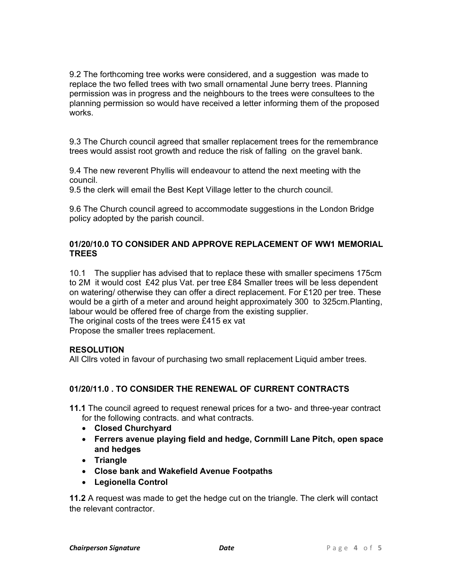9.2 The forthcoming tree works were considered, and a suggestion was made to replace the two felled trees with two small ornamental June berry trees. Planning permission was in progress and the neighbours to the trees were consultees to the planning permission so would have received a letter informing them of the proposed works.

9.3 The Church council agreed that smaller replacement trees for the remembrance trees would assist root growth and reduce the risk of falling on the gravel bank.

9.4 The new reverent Phyllis will endeavour to attend the next meeting with the council.

9.5 the clerk will email the Best Kept Village letter to the church council.

9.6 The Church council agreed to accommodate suggestions in the London Bridge policy adopted by the parish council.

### 01/20/10.0 TO CONSIDER AND APPROVE REPLACEMENT OF WW1 MEMORIAL **TREES**

10.1 The supplier has advised that to replace these with smaller specimens 175cm to 2M it would cost £42 plus Vat. per tree £84 Smaller trees will be less dependent on watering/ otherwise they can offer a direct replacement. For £120 per tree. These would be a girth of a meter and around height approximately 300 to 325cm.Planting, labour would be offered free of charge from the existing supplier.

The original costs of the trees were £415 ex vat Propose the smaller trees replacement.

#### RESOLUTION

All Cllrs voted in favour of purchasing two small replacement Liquid amber trees.

#### 01/20/11.0 . TO CONSIDER THE RENEWAL OF CURRENT CONTRACTS

11.1 The council agreed to request renewal prices for a two- and three-year contract for the following contracts. and what contracts.

- Closed Churchyard
- Ferrers avenue playing field and hedge, Cornmill Lane Pitch, open space and hedges
- Triangle
- Close bank and Wakefield Avenue Footpaths
- Legionella Control

11.2 A request was made to get the hedge cut on the triangle. The clerk will contact the relevant contractor.